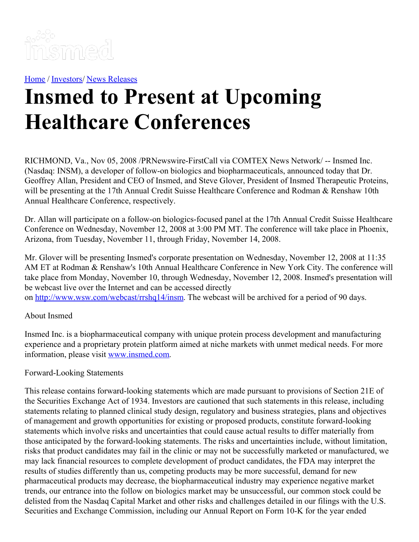

[Home](https://insmed.com/) / [Investors](https://investor.insmed.com/index)/ News [Releases](https://investor.insmed.com/releases)

## **Insmed to Present at Upcoming Healthcare Conferences**

RICHMOND, Va., Nov 05, 2008 /PRNewswire-FirstCall via COMTEX News Network/ -- Insmed Inc. (Nasdaq: INSM), a developer of follow-on biologics and biopharmaceuticals, announced today that Dr. Geoffrey Allan, President and CEO of Insmed, and Steve Glover, President of Insmed Therapeutic Proteins, will be presenting at the 17th Annual Credit Suisse Healthcare Conference and Rodman & Renshaw 10th Annual Healthcare Conference, respectively.

Dr. Allan will participate on a follow-on biologics-focused panel at the 17th Annual Credit Suisse Healthcare Conference on Wednesday, November 12, 2008 at 3:00 PM MT. The conference will take place in Phoenix, Arizona, from Tuesday, November 11, through Friday, November 14, 2008.

Mr. Glover will be presenting Insmed's corporate presentation on Wednesday, November 12, 2008 at 11:35 AM ET at Rodman & Renshaw's 10th Annual Healthcare Conference in New York City. The conference will take place from Monday, November 10, through Wednesday, November 12, 2008. Insmed's presentation will be webcast live over the Internet and can be accessed directly on <http://www.wsw.com/webcast/rrshq14/insm>. The webcast will be archived for a period of 90 days.

## About Insmed

Insmed Inc. is a biopharmaceutical company with unique protein process development and manufacturing experience and a proprietary protein platform aimed at niche markets with unmet medical needs. For more information, please visit [www.insmed.com](http://www.insmed.com/).

## Forward-Looking Statements

This release contains forward-looking statements which are made pursuant to provisions of Section 21E of the Securities Exchange Act of 1934. Investors are cautioned that such statements in this release, including statements relating to planned clinical study design, regulatory and business strategies, plans and objectives of management and growth opportunities for existing or proposed products, constitute forward-looking statements which involve risks and uncertainties that could cause actual results to differ materially from those anticipated by the forward-looking statements. The risks and uncertainties include, without limitation, risks that product candidates may fail in the clinic or may not be successfully marketed or manufactured, we may lack financial resources to complete development of product candidates, the FDA may interpret the results of studies differently than us, competing products may be more successful, demand for new pharmaceutical products may decrease, the biopharmaceutical industry may experience negative market trends, our entrance into the follow on biologics market may be unsuccessful, our common stock could be delisted from the Nasdaq Capital Market and other risks and challenges detailed in our filings with the U.S. Securities and Exchange Commission, including our Annual Report on Form 10-K for the year ended